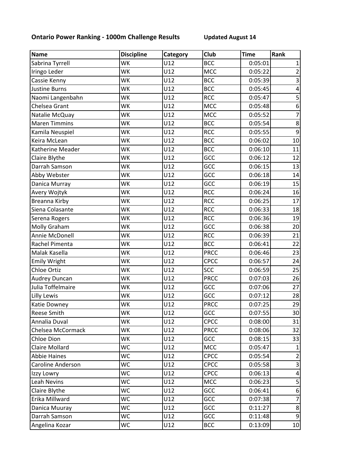## **Ontario Power Ranking - 1000m Challenge Results Updated August 14**

| <b>Name</b>           | <b>Discipline</b> | Category | Club        | <b>Time</b> | Rank                    |
|-----------------------|-------------------|----------|-------------|-------------|-------------------------|
| Sabrina Tyrrell       | WK                | U12      | <b>BCC</b>  | 0:05:01     | 1                       |
| Iringo Leder          | WK                | U12      | <b>MCC</b>  | 0:05:22     | $\overline{c}$          |
| Cassie Kenny          | WK                | U12      | <b>BCC</b>  | 0:05:39     | $\overline{3}$          |
| <b>Justine Burns</b>  | WK                | U12      | <b>BCC</b>  | 0:05:45     | $\overline{\mathbf{r}}$ |
| Naomi Langenbahn      | WK                | U12      | <b>RCC</b>  | 0:05:47     | $\overline{\mathbf{5}}$ |
| Chelsea Grant         | WK                | U12      | <b>MCC</b>  | 0:05:48     | $\boldsymbol{6}$        |
| Natalie McQuay        | WK                | U12      | <b>MCC</b>  | 0:05:52     | $\overline{7}$          |
| <b>Maren Timmins</b>  | WK                | U12      | <b>BCC</b>  | 0:05:54     | $\overline{8}$          |
| Kamila Neuspiel       | WK                | U12      | <b>RCC</b>  | 0:05:55     | 9                       |
| Keira McLean          | WK                | U12      | <b>BCC</b>  | 0:06:02     | 10                      |
| Katherine Meader      | WK                | U12      | <b>BCC</b>  | 0:06:10     | 11                      |
| Claire Blythe         | WK                | U12      | GCC         | 0:06:12     | 12                      |
| Darrah Samson         | WK                | U12      | GCC         | 0:06:15     | 13                      |
| Abby Webster          | WK                | U12      | GCC         | 0:06:18     | 14                      |
| Danica Murray         | WK                | U12      | GCC         | 0:06:19     | 15                      |
| Avery Wojtyk          | WK                | U12      | <b>RCC</b>  | 0:06:24     | 16                      |
| Breanna Kirby         | WK                | U12      | <b>RCC</b>  | 0:06:25     | 17                      |
| Siena Colasante       | WK                | U12      | <b>RCC</b>  | 0:06:33     | 18                      |
| Serena Rogers         | WK                | U12      | <b>RCC</b>  | 0:06:36     | 19                      |
| Molly Graham          | WK                | U12      | GCC         | 0:06:38     | 20                      |
| Annie McDonell        | WK                | U12      | <b>RCC</b>  | 0:06:39     | 21                      |
| Rachel Pimenta        | WK                | U12      | <b>BCC</b>  | 0:06:41     | 22                      |
| Malak Kasella         | WK                | U12      | <b>PRCC</b> | 0:06:46     | 23                      |
| <b>Emily Wright</b>   | WK                | U12      | CPCC        | 0:06:57     | 24                      |
| <b>Chloe Ortiz</b>    | WK                | U12      | <b>SCC</b>  | 0:06:59     | 25                      |
| <b>Audrey Duncan</b>  | WK                | U12      | <b>PRCC</b> | 0:07:03     | 26                      |
| Julia Toffelmaire     | WK                | U12      | GCC         | 0:07:06     | 27                      |
| <b>Lilly Lewis</b>    | WK                | U12      | GCC         | 0:07:12     | 28                      |
| Katie Downey          | WK                | U12      | <b>PRCC</b> | 0:07:25     | 29                      |
| <b>Reese Smith</b>    | WK                | U12      | GCC         | 0:07:55     | 30                      |
| Annalia Duval         | WK                | U12      | <b>CPCC</b> | 0:08:00     | 31                      |
| Chelsea McCormack     | WK                | U12      | <b>PRCC</b> | 0:08:06     | 32                      |
| Chloe Dion            | WK                | U12      | <b>GCC</b>  | 0:08:15     | 33                      |
| <b>Claire Mollard</b> | WC                | U12      | <b>MCC</b>  | 0:05:47     |                         |
| <b>Abbie Haines</b>   | WC                | U12      | CPCC        | 0:05:54     | $\overline{2}$          |
| Caroline Anderson     | WC                | U12      | <b>CPCC</b> | 0:05:58     | 3                       |
| Izzy Lowry            | WC                | U12      | <b>CPCC</b> | 0:06:13     | 4                       |
| <b>Leah Nevins</b>    | WC                | U12      | <b>MCC</b>  | 0:06:23     | 5                       |
| Claire Blythe         | WC                | U12      | GCC         | 0:06:41     | 6                       |
| Erika Millward        | WC                | U12      | GCC         | 0:07:38     | $\overline{7}$          |
| Danica Muuray         | WC                | U12      | GCC         | 0:11:27     | 8                       |
| Darrah Samson         | WC                | U12      | GCC         | 0:11:48     | 9                       |
| Angelina Kozar        | WC                | U12      | <b>BCC</b>  | 0:13:09     | 10                      |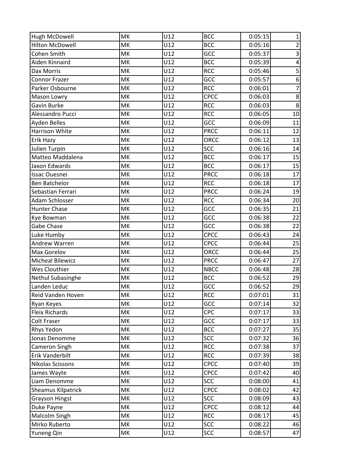| Hugh McDowell           | MK | U12 | <b>BCC</b>  | 0:05:15 | $\mathbf{1}$            |
|-------------------------|----|-----|-------------|---------|-------------------------|
| <b>Hilton McDowell</b>  | MK | U12 | <b>BCC</b>  | 0:05:16 | $\overline{2}$          |
| Cohen Smith             | MK | U12 | GCC         | 0:05:37 | $\overline{3}$          |
| Aiden Kinnaird          | MK | U12 | <b>BCC</b>  | 0:05:39 | $\overline{\mathbf{r}}$ |
| Dax Morris              | MK | U12 | <b>RCC</b>  | 0:05:46 | 5                       |
| Connor Frazer           | MK | U12 | GCC         | 0:05:57 | $\overline{6}$          |
| Parker Osbourne         | MK | U12 | <b>RCC</b>  | 0:06:01 | $\overline{7}$          |
| Mason Lowry             | MK | U12 | CPCC        | 0:06:03 | 8                       |
| Gavin Burke             | MK | U12 | <b>RCC</b>  | 0:06:03 | 8                       |
| Alessandro Pucci        | MK | U12 | <b>RCC</b>  | 0:06:05 | 10                      |
| Ayden Belles            | MK | U12 | GCC         | 0:06:09 | 11                      |
| Harrison White          | MK | U12 | <b>PRCC</b> | 0:06:11 | 12                      |
| Erik Hazy               | MK | U12 | ORCC        | 0:06:12 | 13                      |
| Julien Turpin           | MK | U12 | <b>SCC</b>  | 0:06:16 | 14                      |
| Matteo Maddalena        | MK | U12 | <b>BCC</b>  | 0:06:17 | 15                      |
| Jaxon Edwards           | MK | U12 | <b>BCC</b>  | 0:06:17 | 15                      |
| <b>Issac Ouesnei</b>    | MK | U12 | <b>PRCC</b> | 0:06:18 | 17                      |
| <b>Ben Batchelor</b>    | MK | U12 | <b>RCC</b>  | 0:06:18 | 17                      |
| Sebastian Ferrari       | MK | U12 | <b>PRCC</b> | 0:06:24 | 19                      |
| Adam Schlosser          | MK | U12 | <b>RCC</b>  | 0:06:34 | 20                      |
| <b>Hunter Chase</b>     | MK | U12 | GCC         | 0:06:35 | 21                      |
| Kye Bowman              | MK | U12 | GCC         | 0:06:38 | 22                      |
| Gabe Chase              | MK | U12 | GCC         | 0:06:38 | 22                      |
| Luke Humby              | MK | U12 | <b>CPCC</b> | 0:06:43 | 24                      |
| Andrew Warren           | MK | U12 | <b>CPCC</b> | 0:06:44 | 25                      |
| Max Gorelov             | MK | U12 | ORCC        | 0:06:44 | 25                      |
| <b>Micheal Bilewicz</b> | MK | U12 | <b>PRCC</b> | 0:06:47 | 27                      |
| Wes Clouthier           | MK | U12 | <b>NBCC</b> | 0:06:48 | 28                      |
| Nethul Subasinghe       | MK | U12 | <b>BCC</b>  | 0:06:52 | 29                      |
| Landen Leduc            | MK | U12 | GCC         | 0:06:52 | 29                      |
| Reid Vanden Hoven       | MK | U12 | <b>RCC</b>  | 0:07:01 | 31                      |
| Ryan Keyes              | MK | U12 | GCC         | 0:07:14 | 32                      |
| <b>Fleix Richards</b>   | MK | U12 | CPC         | 0:07:17 | 33                      |
| Colt Fraser             | MK | U12 | GCC         | 0:07:17 | 33                      |
| Rhys Yedon              | MK | U12 | <b>BCC</b>  | 0:07:27 | 35                      |
| Jonas Denomme           | MK | U12 | <b>SCC</b>  | 0:07:32 | 36                      |
| Cameron Singh           | МK | U12 | <b>RCC</b>  | 0:07:38 | 37                      |
| Erik Vanderbilt         | MK | U12 | <b>RCC</b>  | 0:07:39 | 38                      |
| Nikolas Scissons        | MK | U12 | CPCC        | 0:07:40 | 39                      |
| James Wayte             | MK | U12 | CPCC        | 0:07:42 | 40                      |
| Liam Denomme            | MK | U12 | <b>SCC</b>  | 0:08:00 | 41                      |
| Sheamus Kilpatrick      | MK | U12 | CPCC        | 0:08:02 | 42                      |
| <b>Grayson Hingst</b>   | MK | U12 | <b>SCC</b>  | 0:08:09 | 43                      |
| Duke Payne              | MK | U12 | <b>CPCC</b> | 0:08:12 | 44                      |
| Malcolm Singh           | MK | U12 | <b>RCC</b>  | 0:08:17 | 45                      |
| Mirko Ruberto           | МK | U12 | <b>SCC</b>  | 0:08:22 | 46                      |
| Yuneng Qin              | MK | U12 | <b>SCC</b>  | 0:08:57 | 47                      |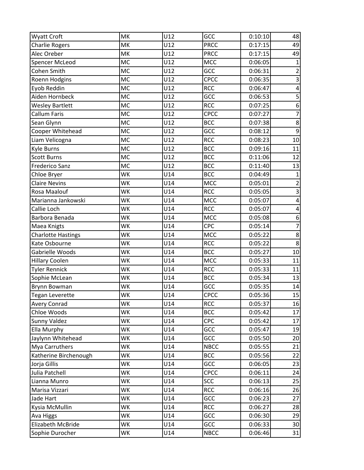| Wyatt Croft               | <b>MK</b> | U12 | GCC         | 0:10:10 | 48                      |
|---------------------------|-----------|-----|-------------|---------|-------------------------|
| <b>Charlie Rogers</b>     | MK        | U12 | <b>PRCC</b> | 0:17:15 | 49                      |
| Alec Oreber               | MK        | U12 | <b>PRCC</b> | 0:17:15 | 49                      |
| Spencer McLeod            | <b>MC</b> | U12 | <b>MCC</b>  | 0:06:05 | $\mathbf{1}$            |
| Cohen Smith               | <b>MC</b> | U12 | GCC         | 0:06:31 | $\overline{c}$          |
| Roenn Hodgins             | <b>MC</b> | U12 | <b>CPCC</b> | 0:06:35 | $\overline{3}$          |
| Eyob Reddin               | <b>MC</b> | U12 | <b>RCC</b>  | 0:06:47 | $\overline{\mathbf{4}}$ |
| Aiden Hornbeck            | <b>MC</b> | U12 | GCC         | 0:06:53 | 5                       |
| <b>Wesley Bartlett</b>    | <b>MC</b> | U12 | <b>RCC</b>  | 0:07:25 | $\boldsymbol{6}$        |
| Callum Faris              | <b>MC</b> | U12 | CPCC        | 0:07:27 | $\overline{7}$          |
| Sean Glynn                | <b>MC</b> | U12 | <b>BCC</b>  | 0:07:38 | $\overline{8}$          |
| Cooper Whitehead          | MC        | U12 | GCC         | 0:08:12 | 9                       |
| Liam Velicogna            | <b>MC</b> | U12 | <b>RCC</b>  | 0:08:23 | 10                      |
| Kyle Burns                | <b>MC</b> | U12 | <b>BCC</b>  | 0:09:16 | 11                      |
| <b>Scott Burns</b>        | <b>MC</b> | U12 | <b>BCC</b>  | 0:11:06 | 12                      |
| <b>Frederico Sanz</b>     | <b>MC</b> | U12 | <b>BCC</b>  | 0:11:40 | 13                      |
| Chloe Bryer               | WK        | U14 | <b>BCC</b>  | 0:04:49 | $\mathbf{1}$            |
| <b>Claire Nevins</b>      | WK        | U14 | <b>MCC</b>  | 0:05:01 | $\overline{2}$          |
| Rosa Maalouf              | WK        | U14 | <b>RCC</b>  | 0:05:05 | 3                       |
| Marianna Jankowski        | WK        | U14 | <b>MCC</b>  | 0:05:07 | $\overline{\mathbf{4}}$ |
| Callie Loch               | WK        | U14 | <b>RCC</b>  | 0:05:07 | 4                       |
| Barbora Benada            | WK        | U14 | <b>MCC</b>  | 0:05:08 | 6                       |
| Maea Knigts               | WK        | U14 | CPC         | 0:05:14 | $\overline{7}$          |
| <b>Charlotte Hastings</b> | WK        | U14 | MCC         | 0:05:22 | 8                       |
| Kate Osbourne             | WK        | U14 | <b>RCC</b>  | 0:05:22 | 8                       |
| Gabrielle Woods           | <b>WK</b> | U14 | <b>BCC</b>  | 0:05:27 | 10                      |
| <b>Hillary Coolen</b>     | WK        | U14 | <b>MCC</b>  | 0:05:33 | 11                      |
| <b>Tyler Rennick</b>      | WK        | U14 | <b>RCC</b>  | 0:05:33 | 11                      |
| Sophie McLean             | WK        | U14 | <b>BCC</b>  | 0:05:34 | 13                      |
| Brynn Bowman              | WK        | U14 | GCC         | 0:05:35 | 14                      |
| <b>Tegan Leverette</b>    | WK        | U14 | <b>CPCC</b> | 0:05:36 | 15                      |
| <b>Avery Conrad</b>       | WK        | U14 | <b>RCC</b>  | 0:05:37 | 16                      |
| Chloe Woods               | WK        | U14 | <b>BCC</b>  | 0:05:42 | 17                      |
| Sunny Valdez              | WK        | U14 | <b>CPC</b>  | 0:05:42 | 17                      |
| Ella Murphy               | WK        | U14 | GCC         | 0:05:47 | 19                      |
| Jaylynn Whitehead         | WK        | U14 | GCC         | 0:05:50 | 20                      |
| Mya Carruthers            | WK        | U14 | <b>NBCC</b> | 0:05:55 | 21                      |
| Katherine Birchenough     | WK        | U14 | <b>BCC</b>  | 0:05:56 | 22                      |
| Jorja Gillis              | WK        | U14 | GCC         | 0:06:05 | 23                      |
| Julia Patchell            | WK        | U14 | <b>CPCC</b> | 0:06:11 | 24                      |
| Lianna Munro              | WK        | U14 | <b>SCC</b>  | 0:06:13 | 25                      |
| Marisa Vizzari            | WK        | U14 | <b>RCC</b>  | 0:06:16 | 26                      |
| Jade Hart                 | WK        | U14 | GCC         | 0:06:23 | 27                      |
| Kysia McMullin            | WK        | U14 | <b>RCC</b>  | 0:06:27 | 28                      |
| Ava Higgs                 | WK        | U14 | GCC         | 0:06:30 | 29                      |
| Elizabeth McBride         | WK        | U14 | GCC         | 0:06:33 | 30                      |
| Sophie Durocher           | WK        | U14 | <b>NBCC</b> | 0:06:46 | 31                      |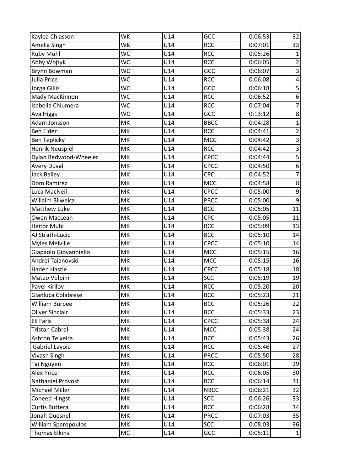| Kaylea Chiasson       | <b>WK</b> | U14 | GCC         | 0:06:53 | 32                      |
|-----------------------|-----------|-----|-------------|---------|-------------------------|
| Amelia Singh          | WK        | U14 | <b>RCC</b>  | 0:07:01 | 33                      |
| <b>Ruby Muhl</b>      | <b>WC</b> | U14 | <b>RCC</b>  | 0:05:26 | 1                       |
| Abby Wojtyk           | WC        | U14 | <b>RCC</b>  | 0:06:05 | $\overline{c}$          |
| <b>Brynn Bowman</b>   | WC        | U14 | GCC         | 0:06:07 | 3                       |
| Julia Price           | WC        | U14 | <b>RCC</b>  | 0:06:08 | $\overline{\mathbf{4}}$ |
| Jorga Gillis          | <b>WC</b> | U14 | GCC         | 0:06:18 | $\overline{\mathbf{5}}$ |
| Mady MacKinnon        | <b>WC</b> | U14 | <b>RCC</b>  | 0:06:52 | $\boldsymbol{6}$        |
| Isabella Chiumera     | WC        | U14 | <b>RCC</b>  | 0:07:04 | $\overline{7}$          |
| Ava Higgs             | <b>WC</b> | U14 | GCC         | 0:13:12 | $\overline{8}$          |
| Adam Jonsson          | MK        | U14 | <b>BBCC</b> | 0:04:28 | $\mathbf{1}$            |
| Ben Elder             | MK        | U14 | <b>RCC</b>  | 0:04:41 | $\overline{c}$          |
| <b>Ben Teplicky</b>   | MK        | U14 | <b>MCC</b>  | 0:04:42 | $\overline{3}$          |
| Henrik Neuspiel       | MK        | U14 | <b>RCC</b>  | 0:04:42 | $\overline{3}$          |
| Dylan Redwood-Wheeler | MK        | U14 | <b>CPCC</b> | 0:04:44 | $\overline{\mathbf{5}}$ |
| <b>Avery Duval</b>    | MK        | U14 | CPCC        | 0:04:50 | $\overline{6}$          |
| Jack Bailey           | MK        | U14 | CPC         | 0:04:52 | $\overline{7}$          |
| Dom Ramirez           | MK        | U14 | <b>MCC</b>  | 0:04:58 | $\bf 8$                 |
| Luca MacNeil          | MK        | U14 | CPCC        | 0:05:00 | $\mathsf 9$             |
| Willaim Bilweicz      | MK        | U14 | <b>PRCC</b> | 0:05:00 | $\boldsymbol{9}$        |
| Matthew Luke          | MK        | U14 | <b>BCC</b>  | 0:05:05 | 11                      |
| Owen MacLean          | MK        | U14 | CPC         | 0:05:05 | 11                      |
| <b>Heitor Muhl</b>    | MK        | U14 | <b>RCC</b>  | 0:05:09 | 13                      |
| AJ Strath-Lucic       | MK        | U14 | <b>BCC</b>  | 0:05:10 | 14                      |
| Myles Melville        | MK        | U14 | CPCC        | 0:05:10 | 14                      |
| Giapaolo Giovanniello | MK        | U14 | <b>MCC</b>  | 0:05:15 | 16                      |
| Andrei Taianovski     | MK        | U14 | <b>MCC</b>  | 0:05:15 | 16                      |
| <b>Haden Hastie</b>   | MK        | U14 | CPCC        | 0:05:18 | 18                      |
| Mateo Volpini         | MK        | U14 | SCC         | 0:05:19 | 19                      |
| Pavel Kirilov         | MK        | U14 | <b>RCC</b>  | 0:05:20 | 20                      |
| Gianluca Colabrese    | MK        | U14 | <b>BCC</b>  | 0:05:23 | 21                      |
| William Burpee        | MK        | U14 | <b>BCC</b>  | 0:05:26 | 22                      |
| Oliver Sinclair       | MK        | U14 | <b>BCC</b>  | 0:05:33 | 23                      |
| Eli Faris             | МK        | U14 | <b>CPCC</b> | 0:05:38 | 24                      |
| Tristan Cabral        | MK        | U14 | <b>MCC</b>  | 0:05:38 | 24                      |
| Ashton Teixeira       | MK        | U14 | <b>BCC</b>  | 0:05:43 | 26                      |
| Gabriel Lavoie        | МK        | U14 | <b>RCC</b>  | 0:05:46 | 27                      |
| Vivash Singh          | MK        | U14 | <b>PRCC</b> | 0:05:50 | 28                      |
| Tai Nguyen            | МK        | U14 | <b>RCC</b>  | 0:06:01 | 29                      |
| <b>Alex Price</b>     | MK        | U14 | <b>RCC</b>  | 0:06:05 | 30                      |
| Nathaniel Provost     | MK        | U14 | <b>RCC</b>  | 0:06:14 | 31                      |
| Michael Miller        | MK        | U14 | <b>NBCC</b> | 0:06:21 | 32                      |
| <b>Coheed Hingst</b>  | MK        | U14 | <b>SCC</b>  | 0:06:26 | 33                      |
| Curtis Buttera        | MK        | U14 | <b>RCC</b>  | 0:06:28 | 34                      |
| Jonah Quesnel         | MK        | U14 | <b>PRCC</b> | 0:07:03 | 35                      |
| William Speropoulos   | МK        | U14 | <b>SCC</b>  | 0:08:03 | 36                      |
| <b>Thomas Elkins</b>  | MC        | U14 | GCC         | 0:05:11 | $\mathbf 1$             |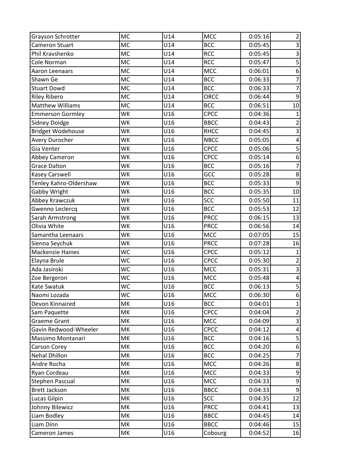| Grayson Schrotter        | <b>MC</b> | U14 | <b>MCC</b>  | 0:05:16 | $\overline{2}$          |
|--------------------------|-----------|-----|-------------|---------|-------------------------|
| Cameron Stuart           | <b>MC</b> | U14 | <b>BCC</b>  | 0:05:45 | 3                       |
| Phil Kravshenko          | <b>MC</b> | U14 | <b>RCC</b>  | 0:05:45 | $\overline{3}$          |
| Cole Norman              | <b>MC</b> | U14 | <b>RCC</b>  | 0:05:47 | 5                       |
| Aaron Leenaars           | <b>MC</b> | U14 | <b>MCC</b>  | 0:06:01 | 6                       |
| Shawn Ge                 | <b>MC</b> | U14 | <b>BCC</b>  | 0:06:33 | $\overline{7}$          |
| <b>Stuart Dowd</b>       | <b>MC</b> | U14 | <b>BCC</b>  | 0:06:33 | 7                       |
| <b>Riley Ribero</b>      | <b>MC</b> | U14 | ORCC        | 0:06:44 | 9                       |
| <b>Matthew Williams</b>  | <b>MC</b> | U14 | <b>BCC</b>  | 0:06:51 | 10                      |
| <b>Emmerson Gormley</b>  | WK        | U16 | <b>CPCC</b> | 0:04:36 | 1                       |
| <b>Sidney Doidge</b>     | WK        | U16 | <b>BBCC</b> | 0:04:43 | 2                       |
| <b>Bridget Wodehouse</b> | WK        | U16 | <b>RHCC</b> | 0:04:45 | 3                       |
| Avery Durocher           | WK        | U16 | <b>NBCC</b> | 0:05:05 | $\overline{\mathbf{r}}$ |
| Gia Venter               | WK        | U16 | CPCC        | 0:05:06 | 5                       |
| Abbey Cameron            | WK        | U16 | <b>CPCC</b> | 0:05:14 | 6                       |
| <b>Grace Dalton</b>      | WK        | U16 | <b>BCC</b>  | 0:05:16 | $\overline{7}$          |
| <b>Kasey Carswell</b>    | WK        | U16 | GCC         | 0:05:28 | $\bf 8$                 |
| Tenley Kahro-Oldershaw   | WK        | U16 | <b>BCC</b>  | 0:05:33 | 9                       |
| Gabby Wright             | <b>WK</b> | U16 | <b>BCC</b>  | 0:05:35 | 10                      |
| Abbey Krawczuk           | WK        | U16 | <b>SCC</b>  | 0:05:50 | 11                      |
| Gwenno Leclercq          | WK        | U16 | <b>BCC</b>  | 0:05:53 | 12                      |
| Sarah Armstrong          | WK        | U16 | <b>PRCC</b> | 0:06:15 | 13                      |
| Olivia White             | WK        | U16 | <b>PRCC</b> | 0:06:56 | 14                      |
| Samantha Leenaars        | WK        | U16 | <b>MCC</b>  | 0:07:05 | 15                      |
| Sienna Seychuk           | WK        | U16 | <b>PRCC</b> | 0:07:28 | 16                      |
| <b>Mackenzie Haines</b>  | <b>WC</b> | U16 | CPCC        | 0:05:12 | $\mathbf{1}$            |
| Elayna Brule             | <b>WC</b> | U16 | CPCC        | 0:05:30 | $\overline{2}$          |
| Ada Jasinski             | <b>WC</b> | U16 | <b>MCC</b>  | 0:05:31 | 3                       |
| Zoe Bergeron             | WC        | U16 | <b>MCC</b>  | 0:05:48 | 4                       |
| <b>Kate Swatuk</b>       | WC        | U16 | <b>BCC</b>  | 0:06:13 | 5                       |
| Naomi Lozada             | <b>WC</b> | U16 | <b>MCC</b>  | 0:06:30 | 6                       |
| Devon Kinnaired          | MK        | U16 | <b>BCC</b>  | 0:04:01 | 1                       |
| Sam Paquette             | MK        | U16 | CPCC        | 0:04:04 | $\overline{2}$          |
| Graeme Grant             | MK        | U16 | <b>MCC</b>  | 0:04:09 | 3                       |
| Gavin Redwood-Wheeler    | MK        | U16 | CPCC        | 0:04:12 | 4                       |
| Massimo Montanari        | MK        | U16 | <b>BCC</b>  | 0:04:16 | 5                       |
| Carson Corey             | МK        | U16 | <b>BCC</b>  | 0:04:20 | 6                       |
| Nehal Dhillon            | MK        | U16 | <b>BCC</b>  | 0:04:25 | $\overline{7}$          |
| Andre Rocha              | МK        | U16 | <b>MCC</b>  | 0:04:26 | 8                       |
| Ryan Cordeau             | MK        | U16 | <b>MCC</b>  | 0:04:33 | 9                       |
| Stephen Pascual          | MK        | U16 | <b>MCC</b>  | 0:04:33 | $\overline{9}$          |
| <b>Brett Jackson</b>     | MK        | U16 | <b>BBCC</b> | 0:04:33 | 9                       |
| Lucas Gilpin             | MK        | U16 | <b>SCC</b>  | 0:04:35 | 12                      |
| Johnny Bilewicz          | MK        | U16 | <b>PRCC</b> | 0:04:41 | 13                      |
| Liam Bodley              | MK        | U16 | <b>BBCC</b> | 0:04:45 | 14                      |
| Liam Dinn                | МK        | U16 | <b>BBCC</b> | 0:04:46 | 15                      |
| Cameron James            | MK        | U16 | Cobourg     | 0:04:52 | 16                      |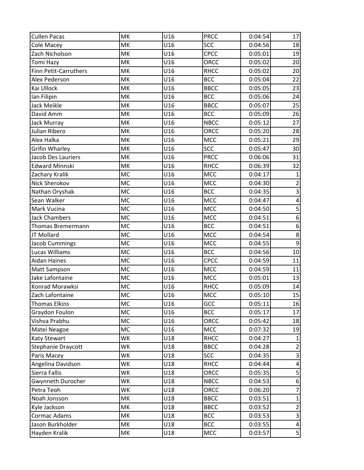| <b>Cullen Pacas</b>   | MK        | U16 | <b>PRCC</b> | 0:04:54 | 17                      |
|-----------------------|-----------|-----|-------------|---------|-------------------------|
| Cole Macey            | MK        | U16 | <b>SCC</b>  | 0:04:56 | 18                      |
| Zach Nicholson        | MK        | U16 | CPCC        | 0:05:01 | 19                      |
| Tomi Hazy             | MK        | U16 | ORCC        | 0:05:02 | 20                      |
| Finn Petit-Carruthers | MK        | U16 | <b>RHCC</b> | 0:05:02 | 20                      |
| Alex Pederson         | MK        | U16 | <b>BCC</b>  | 0:05:04 | 22                      |
| Kai Ullock            | MK        | U16 | <b>BBCC</b> | 0:05:05 | 23                      |
| lan Filipin           | MK        | U16 | <b>BCC</b>  | 0:05:06 | 24                      |
| Jack Meikle           | MK        | U16 | <b>BBCC</b> | 0:05:07 | 25                      |
| David Amm             | MK        | U16 | <b>BCC</b>  | 0:05:09 | 26                      |
| Jack Murray           | MK        | U16 | <b>NBCC</b> | 0:05:12 | 27                      |
| Julian Ribero         | MK        | U16 | ORCC        | 0:05:20 | 28                      |
| Alex Halka            | MK        | U16 | <b>MCC</b>  | 0:05:21 | 29                      |
| <b>Grifin Wharley</b> | MK        | U16 | <b>SCC</b>  | 0:05:47 | 30                      |
| Jacob Des Lauriers    | MK        | U16 | <b>PRCC</b> | 0:06:06 | 31                      |
| <b>Edward Minnski</b> | MK        | U16 | <b>RHCC</b> | 0:06:39 | 32                      |
| Zachary Kralik        | MC        | U16 | MCC         | 0:04:17 | $\mathbf 1$             |
| <b>Nick Sherokov</b>  | <b>MC</b> | U16 | <b>MCC</b>  | 0:04:30 | $\overline{2}$          |
| Nathan Oryshak        | <b>MC</b> | U16 | <b>BCC</b>  | 0:04:35 | $\overline{3}$          |
| Sean Walker           | MC        | U16 | <b>MCC</b>  | 0:04:47 | $\overline{\mathbf{4}}$ |
| Mark Vucina           | <b>MC</b> | U16 | <b>MCC</b>  | 0:04:50 | $\overline{\mathbf{5}}$ |
| <b>Jack Chambers</b>  | <b>MC</b> | U16 | <b>MCC</b>  | 0:04:51 | $\overline{6}$          |
| Thomas Bremermann     | <b>MC</b> | U16 | <b>BCC</b>  | 0:04:51 | $\boldsymbol{6}$        |
| JT Mollard            | <b>MC</b> | U16 | <b>MCC</b>  | 0:04:54 | $\bf 8$                 |
| <b>Jacob Cummings</b> | <b>MC</b> | U16 | <b>MCC</b>  | 0:04:55 | $\overline{9}$          |
| Lucas Williams        | <b>MC</b> | U16 | <b>BCC</b>  | 0:04:56 | 10                      |
| <b>Aidan Haines</b>   | <b>MC</b> | U16 | <b>CPCC</b> | 0:04:59 | 11                      |
| Matt Sampson          | <b>MC</b> | U16 | <b>MCC</b>  | 0:04:59 | 11                      |
| Jake Lafontaine       | <b>MC</b> | U16 | <b>MCC</b>  | 0:05:01 | 13                      |
| Konrad Morawksi       | MC        | U16 | <b>RHCC</b> | 0:05:09 | 14                      |
| Zach Lafontaine       | <b>MC</b> | U16 | <b>MCC</b>  | 0:05:10 | 15                      |
| Thomas Elkins         | <b>MC</b> | U16 | GCC         | 0:05:11 | 16                      |
| Graydon Foulon        | MC        | U16 | <b>BCC</b>  | 0:05:17 | 17                      |
| Vishva Prabhu         | MC        | U16 | ORCC        | 0:05:42 | 18                      |
| Matei Neagoe          | <b>MC</b> | U16 | <b>MCC</b>  | 0:07:32 | 19                      |
| Katy Stewart          | WK        | U18 | <b>RHCC</b> | 0:04:27 |                         |
| Stephanie Draycott    | WK        | U18 | <b>BBCC</b> | 0:04:28 | $\overline{2}$          |
| Paris Macey           | WK        | U18 | <b>SCC</b>  | 0:04:35 | $\overline{3}$          |
| Angelina Davidson     | WK        | U18 | <b>RHCC</b> | 0:04:44 | $\pmb{4}$               |
| Sierra Fallis         | WK        | U18 | ORCC        | 0:05:35 | 5                       |
| Gwynneth Durocher     | WK        | U18 | <b>NBCC</b> | 0:04:53 | 6                       |
| Petra Teoh            | WK        | U18 | ORCC        | 0:06:20 | $\overline{7}$          |
| Noah Jonsson          | MK        | U18 | <b>BBCC</b> | 0:03:51 | $\mathbf 1$             |
| Kyle Jackson          | MK        | U18 | <b>BBCC</b> | 0:03:52 | $\overline{c}$          |
| Cormac Adams          | MK        | U18 | <b>BCC</b>  | 0:03:53 | 3                       |
| Jason Burkholder      | МK        | U18 | <b>BCC</b>  | 0:03:55 | $\pmb{4}$               |
| Hayden Kralik         | MK        | U18 | <b>MCC</b>  | 0:03:57 | $\overline{\mathbf{5}}$ |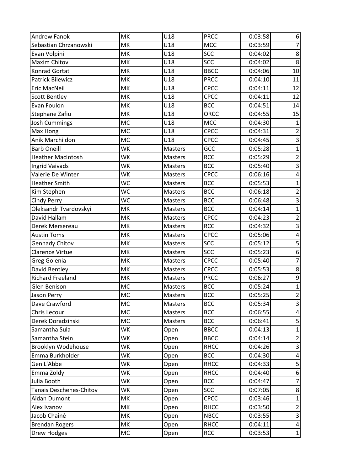| <b>Andrew Fanok</b>      | MK        | U18            | <b>PRCC</b> | 0:03:58 | 6                       |
|--------------------------|-----------|----------------|-------------|---------|-------------------------|
| Sebastian Chrzanowski    | MK        | U18            | <b>MCC</b>  | 0:03:59 | $\overline{7}$          |
| Evan Volpini             | MK        | U18            | <b>SCC</b>  | 0:04:02 | $\overline{8}$          |
| Maxim Chitov             | MK        | U18            | <b>SCC</b>  | 0:04:02 | 8                       |
| Konrad Gortat            | MK        | U18            | <b>BBCC</b> | 0:04:06 | 10                      |
| <b>Patrick Bilewicz</b>  | MK        | U18            | <b>PRCC</b> | 0:04:10 | 11                      |
| <b>Eric MacNeil</b>      | MK        | U18            | CPCC        | 0:04:11 | 12                      |
| <b>Scott Bentley</b>     | MK        | U18            | CPCC        | 0:04:11 | 12                      |
| Evan Foulon              | MK        | U18            | <b>BCC</b>  | 0:04:51 | 14                      |
| Stephane Zafiu           | MK        | U18            | <b>ORCC</b> | 0:04:55 | 15                      |
| <b>Josh Cummings</b>     | <b>MC</b> | U18            | <b>MCC</b>  | 0:04:30 | $\mathbf{1}$            |
| Max Hong                 | <b>MC</b> | U18            | <b>CPCC</b> | 0:04:31 | $\overline{2}$          |
| Anik Marchildon          | <b>MC</b> | U18            | <b>CPCC</b> | 0:04:45 | 3                       |
| <b>Barb Oneill</b>       | WK        | Masters        | GCC         | 0:05:28 | $\overline{1}$          |
| <b>Heather MacIntosh</b> | WK        | Masters        | <b>RCC</b>  | 0:05:29 | $\overline{c}$          |
| <b>Ingrid Vaivads</b>    | WK        | <b>Masters</b> | <b>BCC</b>  | 0:05:40 | $\overline{3}$          |
| Valerie De Winter        | WK        | Masters        | CPCC        | 0:06:16 | $\pmb{4}$               |
| <b>Heather Smith</b>     | WC        | Masters        | <b>BCC</b>  | 0:05:53 | $\mathbf{1}$            |
| Kim Stephen              | <b>WC</b> | <b>Masters</b> | <b>BCC</b>  | 0:06:18 | $\overline{c}$          |
| Cindy Perry              | WC        | <b>Masters</b> | <b>BCC</b>  | 0:06:48 | $\overline{3}$          |
| Oleksandr Tvardovskyi    | MK        | Masters        | <b>BCC</b>  | 0:04:14 | $\mathbf 1$             |
| David Hallam             | MK        | <b>Masters</b> | CPCC        | 0:04:23 | $\overline{2}$          |
| Derek Mersereau          | MK        | Masters        | <b>RCC</b>  | 0:04:32 | $\overline{3}$          |
| <b>Austin Toms</b>       | MK        | Masters        | <b>CPCC</b> | 0:05:06 | 4                       |
| <b>Gennady Chitov</b>    | MK        | Masters        | <b>SCC</b>  | 0:05:12 | $\overline{\mathbf{5}}$ |
| Clarence Virtue          | MK        | Masters        | <b>SCC</b>  | 0:05:23 | 6                       |
| Greg Golenia             | MK        | Masters        | <b>CPCC</b> | 0:05:40 | $\overline{7}$          |
| David Bentley            | MK        | Masters        | CPCC        | 0:05:53 | 8                       |
| <b>Richard Freeland</b>  | MK        | Masters        | <b>PRCC</b> | 0:06:27 | 9                       |
| Glen Benison             | MC        | Masters        | <b>BCC</b>  | 0:05:24 | $\mathbf{1}$            |
| Jason Perry              | <b>MC</b> | <b>Masters</b> | <b>BCC</b>  | 0:05:25 | $\overline{2}$          |
| Dave Crawford            | <b>MC</b> | Masters        | <b>BCC</b>  | 0:05:34 | 3                       |
| Chris Lecour             | MC        | <b>Masters</b> | <b>BCC</b>  | 0:06:55 | 4                       |
| Derek Doradzinski        | MC        | Masters        | <b>BCC</b>  | 0:06:41 | 5                       |
| Samantha Sula            | WK        | Open           | <b>BBCC</b> | 0:04:13 | $\overline{1}$          |
| Samantha Stein           | WK        | Open           | <b>BBCC</b> | 0:04:14 | $\overline{c}$          |
| Brooklyn Wodehouse       | WK        | Open           | <b>RHCC</b> | 0:04:26 | 3                       |
| Emma Burkholder          | WK        | Open           | <b>BCC</b>  | 0:04:30 | 4                       |
| Gen L'Abbe               | WK        | Open           | <b>RHCC</b> | 0:04:33 | 5                       |
| Emma Zoldy               | WK        | Open           | <b>RHCC</b> | 0:04:40 | 6                       |
| Julia Booth              | WK        | Open           | <b>BCC</b>  | 0:04:47 | $\overline{7}$          |
| Tanais Deschenes-Chitov  | WK        | Open           | <b>SCC</b>  | 0:07:05 | 8                       |
| Aidan Dumont             | МK        | Open           | CPCC        | 0:03:46 | $\mathbf{1}$            |
| Alex Ivanov              | MK        | Open           | <b>RHCC</b> | 0:03:50 | $\overline{c}$          |
| Jacob Chaîné             | МK        | Open           | <b>NBCC</b> | 0:03:55 | 3                       |
| <b>Brendan Rogers</b>    | МK        | Open           | <b>RHCC</b> | 0:04:11 | 4                       |
| Drew Hodges              | MC        | Open           | <b>RCC</b>  | 0:03:53 | $\mathbf{1}$            |